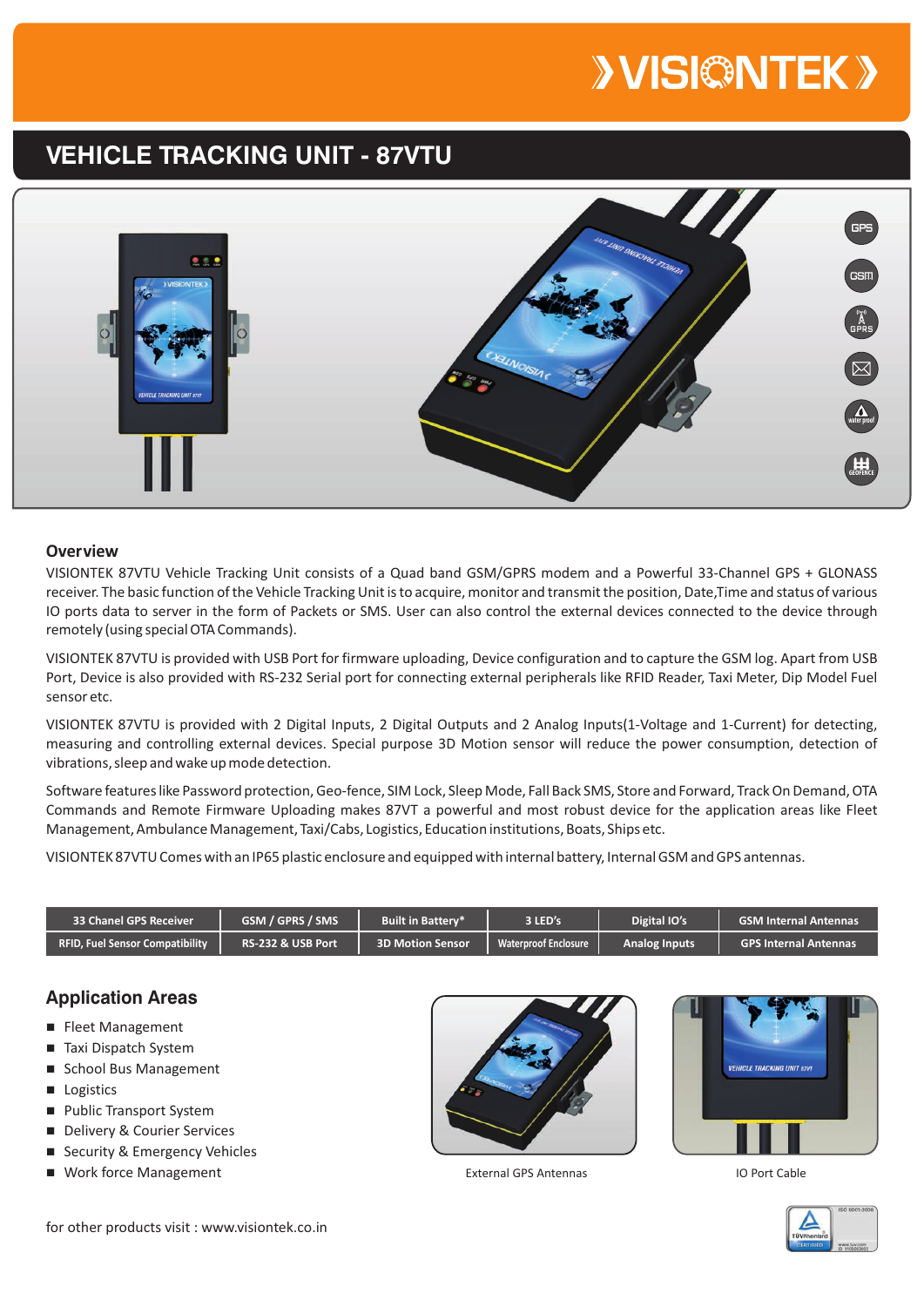# **>VISI©NTEK>**

## **VEHICLE TRACKING UNIT - 87VTU**



#### **Overview**

VISIONTEK 87VTU Vehicle Tracking Unit consists of a Quad band GSM/GPRS modem and a Powerful 33-Channel GPS + GLONASS receiver. The basic function of the Vehicle Tracking Unit is to acquire, monitor and transmit the position, Date,Time and status of various IO ports data to server in the form of Packets or SMS. User can also control the external devices connected to the device through remotely (using special OTA Commands).

VISIONTEK 87VTU is provided with USB Port for firmware uploading, Device configuration and to capture the GSM log. Apart from USB Port, Device is also provided with RS-232 Serial port for connecting external peripherals like RFID Reader, Taxi Meter, Dip Model Fuel sensor etc.

VISIONTEK 87VTU is provided with 2 Digital Inputs, 2 Digital Outputs and 2 Analog Inputs(1-Voltage and 1-Current) for detecting, measuring and controlling external devices. Special purpose 3D Motion sensor will reduce the power consumption, detection of vibrations, sleep and wake up mode detection.

Software features like Password protection, Geo-fence, SIM Lock, Sleep Mode, Fall Back SMS, Store and Forward, Track On Demand, OTA Commands and Remote Firmware Uploading makes 87VT a powerful and most robust device for the application areas like Fleet Management, Ambulance Management, Taxi/Cabs, Logistics, Education institutions, Boats, Ships etc.

VISIONTEK 87VTU Comes with an IP65 plastic enclosure and equipped with internal battery, Internal GSM and GPS antennas.

| <b>33 Chanel GPS Receiver</b>          | <b>GSM / GPRS / SMS</b> | <b>Built in Batterv*</b> | 3 LED's                     | <b>Digital IO's</b>  | <b>GSM Internal Antennas</b> |
|----------------------------------------|-------------------------|--------------------------|-----------------------------|----------------------|------------------------------|
| <b>RFID, Fuel Sensor Compatibility</b> | RS-232 & USB Port       | <b>3D Motion Sensor</b>  | <b>Waterproof Enclosure</b> | <b>Analog Inputs</b> | <b>GPS Internal Antennas</b> |

#### **Application Areas**

- Fleet Management
- Taxi Dispatch System
- School Bus Management
- **n** Logistics
- **Public Transport System**
- Delivery & Courier Services
- Security & Emergency Vehicles
- Work force Management





External GPS Antennas **IO Port Cable** 



for other products visit : www.visiontek.co.in